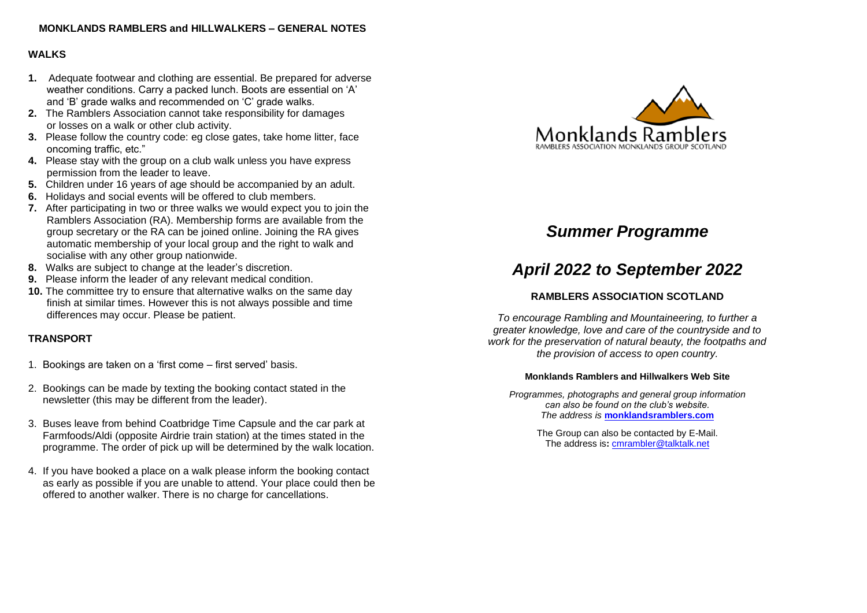# **MONKLANDS RAMBLERS and HILLWALKERS – GENERAL NOTES**

# **WALKS**

- **1.** Adequate footwear and clothing are essential. Be prepared for adverse weather conditions. Carry a packed lunch. Boots are essential on 'A' and 'B' grade walks and recommended on 'C' grade walks.
- **2.** The Ramblers Association cannot take responsibility for damages or losses on a walk or other club activity.
- **3.** Please follow the country code: eg close gates, take home litter, face oncoming traffic, etc."
- **4.** Please stay with the group on a club walk unless you have express permission from the leader to leave.
- **5.** Children under 16 years of age should be accompanied by an adult.
- **6.** Holidays and social events will be offered to club members.
- **7.** After participating in two or three walks we would expect you to join the Ramblers Association (RA). Membership forms are available from the group secretary or the RA can be joined online. Joining the RA gives automatic membership of your local group and the right to walk and socialise with any other group nationwide.
- **8.** Walks are subject to change at the leader's discretion.
- **9.** Please inform the leader of any relevant medical condition.
- **10.** The committee try to ensure that alternative walks on the same day finish at similar times. However this is not always possible and time differences may occur. Please be patient.

# **TRANSPORT**

- 1. Bookings are taken on a 'first come first served' basis.
- 2. Bookings can be made by texting the booking contact stated in the newsletter (this may be different from the leader).
- 3. Buses leave from behind Coatbridge Time Capsule and the car park at Farmfoods/Aldi (opposite Airdrie train station) at the times stated in the programme. The order of pick up will be determined by the walk location.
- 4. If you have booked a place on a walk please inform the booking contact as early as possible if you are unable to attend. Your place could then be offered to another walker. There is no charge for cancellations.



# *Summer Programme*

# *April 2022 to September 2022*

# **RAMBLERS ASSOCIATION SCOTLAND**

*To encourage Rambling and Mountaineering, to further a greater knowledge, love and care of the countryside and to work for the preservation of natural beauty, the footpaths and the provision of access to open country.*

## **Monklands Ramblers and Hillwalkers Web Site**

*Programmes, photographs and general group information can also be found on the club's website. The address is* **[monklandsramblers.com](http://www.monklandsramblers.com/)**

> The Group can also be contacted by E-Mail. The address is**:** [cmrambler@talktalk.net](mailto:cmrambler@talktalk.net)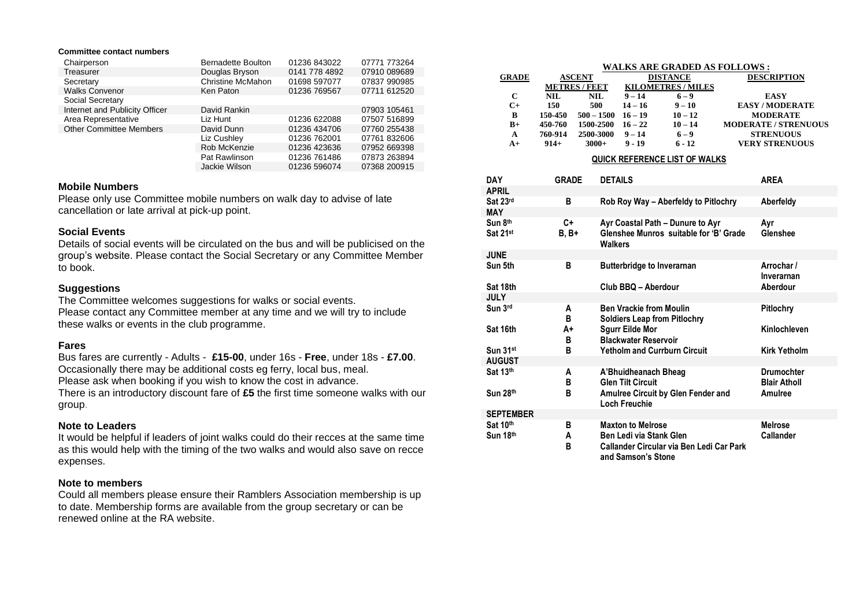#### **Committee contact numbers**

| Chairperson                    | <b>Bernadette Boulton</b> | 01236 843022  | 07771 773264 |
|--------------------------------|---------------------------|---------------|--------------|
| Treasurer                      | Douglas Bryson            | 0141 778 4892 | 07910 089689 |
| Secretary                      | <b>Christine McMahon</b>  | 01698 597077  | 07837 990985 |
| <b>Walks Convenor</b>          | Ken Paton                 | 01236 769567  | 07711 612520 |
| Social Secretary               |                           |               |              |
| Internet and Publicity Officer | David Rankin              |               | 07903 105461 |
| Area Representative            | Liz Hunt                  | 01236 622088  | 07507 516899 |
| <b>Other Committee Members</b> | David Dunn                | 01236 434706  | 07760 255438 |
|                                | Liz Cushley               | 01236 762001  | 07761 832606 |
|                                | Rob McKenzie              | 01236 423636  | 07952 669398 |
|                                | Pat Rawlinson             | 01236 761486  | 07873 263894 |
|                                | Jackie Wilson             | 01236 596074  | 07368 200915 |

#### **Mobile Numbers**

Please only use Committee mobile numbers on walk day to advise of late cancellation or late arrival at pick-up point.

#### **Social Events**

Details of social events will be circulated on the bus and will be publicised on the group's website. Please contact the Social Secretary or any Committee Member to book.

#### **Suggestions**

The Committee welcomes suggestions for walks or social events. Please contact any Committee member at any time and we will try to include these walks or events in the club programme.

#### **Fares**

Bus fares are currently - Adults - **£15-00**, under 16s - **Free**, under 18s - **£7.00**. Occasionally there may be additional costs eg ferry, local bus, meal.

Please ask when booking if you wish to know the cost in advance.

There is an introductory discount fare of **£5** the first time someone walks with our group.

## **Note to Leaders**

It would be helpful if leaders of joint walks could do their recces at the same time as this would help with the timing of the two walks and would also save on recce expenses.

#### **Note to members**

Could all members please ensure their Ramblers Association membership is up to date. Membership forms are available from the group secretary or can be renewed online at the RA website.

| <b>WALKS ARE GRADED AS FOLLOWS:</b> |                    |              |           |                           |                             |  |  |  |
|-------------------------------------|--------------------|--------------|-----------|---------------------------|-----------------------------|--|--|--|
| <b>GRADE</b>                        | <b>ASCENT</b>      |              |           | <b>DISTANCE</b>           | <b>DESCRIPTION</b>          |  |  |  |
|                                     | <b>METRES/FEET</b> |              |           | <b>KILOMETRES / MILES</b> |                             |  |  |  |
| C                                   | NIL.               | NIL.         | $9 - 14$  | $6 - 9$                   | <b>EASY</b>                 |  |  |  |
| $C+$                                | 150                | 500          | $14 - 16$ | $9 - 10$                  | <b>EASY/MODERATE</b>        |  |  |  |
| B                                   | 150-450            | $500 - 1500$ | $16 - 19$ | $10 - 12$                 | <b>MODERATE</b>             |  |  |  |
| $B+$                                | 450-760            | 1500-2500    | $16 - 22$ | $10 - 14$                 | <b>MODERATE / STRENUOUS</b> |  |  |  |
| A                                   | 760-914            | 2500-3000    | $9 - 14$  | $6 - 9$                   | <b>STRENUOUS</b>            |  |  |  |
| $A+$                                | $914+$             | $3000+$      | $9 - 19$  | $6 - 12$                  | <b>VERY STRENUOUS</b>       |  |  |  |
|                                     |                    |              |           |                           |                             |  |  |  |

#### **QUICK REFERENCE LIST OF WALKS**

| DAY<br><b>APRIL</b>  | <b>GRADE</b>        | <b>DETAILS</b>                                                                                                        | <b>AREA</b>                              |
|----------------------|---------------------|-----------------------------------------------------------------------------------------------------------------------|------------------------------------------|
| Sat 23rd             | в                   | Rob Roy Way - Aberfeldy to Pitlochry                                                                                  | Aberfeldy                                |
| <b>MAY</b>           |                     |                                                                                                                       |                                          |
| Sun 8th<br>Sat 21st  | C+<br><b>B</b> , B+ | Ayr Coastal Path - Dunure to Ayr<br>Glenshee Munros suitable for 'B' Grade<br>Walkers                                 | Ayr<br><b>Glenshee</b>                   |
| <b>JUNE</b>          |                     |                                                                                                                       |                                          |
| Sun 5th              | в                   | <b>Butterbridge to Inverarnan</b>                                                                                     | Arrochar /<br>Inverarnan                 |
| Sat 18th             |                     | Club BBQ - Aberdour                                                                                                   | Aberdour                                 |
| <b>JULY</b>          |                     |                                                                                                                       |                                          |
| Sun 3rd              | A<br>в              | <b>Ben Vrackie from Moulin</b><br><b>Soldiers Leap from Pitlochry</b>                                                 | <b>Pitlochry</b>                         |
| Sat 16th             | A+<br>в             | <b>Squrr Eilde Mor</b><br><b>Blackwater Reservoir</b>                                                                 | Kinlochleven                             |
| Sun 31st             | в                   | <b>Yetholm and Currburn Circuit</b>                                                                                   | <b>Kirk Yetholm</b>                      |
| <b>AUGUST</b>        |                     |                                                                                                                       |                                          |
| Sat 13th             | A<br>в              | A'Bhuidheanach Bheag<br><b>Glen Tilt Circuit</b>                                                                      | <b>Drumochter</b><br><b>Blair Atholl</b> |
| Sun 28th             | в                   | <b>Amulree Circuit by Glen Fender and</b><br>Loch Freuchie                                                            | Amulree                                  |
| <b>SEPTEMBER</b>     |                     |                                                                                                                       |                                          |
| Sat 10th<br>Sun 18th | в<br>A<br>R         | <b>Maxton to Melrose</b><br>Ben Ledi via Stank Glen<br>Callander Circular via Ben Ledi Car Park<br>and Samson's Stone | <b>Melrose</b><br><b>Callander</b>       |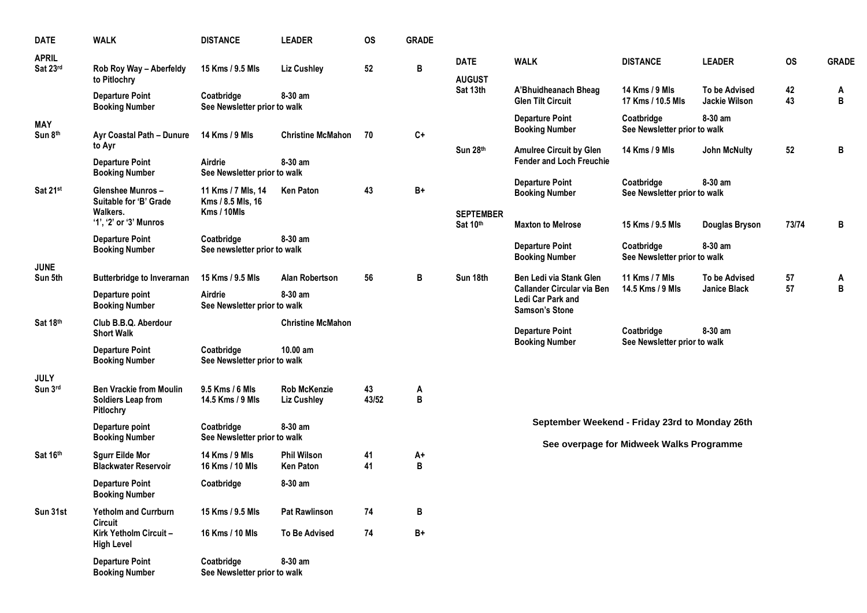| <b>DATE</b>              | <b>WALK</b>                                                       | <b>DISTANCE</b>                                        | <b>LEADER</b>                             | <b>OS</b>   | <b>GRADE</b> |                              |                                                                                                            |                                            |                                       |           |                   |
|--------------------------|-------------------------------------------------------------------|--------------------------------------------------------|-------------------------------------------|-------------|--------------|------------------------------|------------------------------------------------------------------------------------------------------------|--------------------------------------------|---------------------------------------|-----------|-------------------|
| <b>APRIL</b><br>Sat 23rd | Rob Roy Way - Aberfeldy<br>to Pitlochry                           | 15 Kms / 9.5 Mls                                       | <b>Liz Cushley</b>                        | 52          | B            | <b>DATE</b><br><b>AUGUST</b> | <b>WALK</b>                                                                                                | <b>DISTANCE</b>                            | <b>LEADER</b>                         | <b>OS</b> | <b>GRADE</b>      |
|                          | <b>Departure Point</b><br><b>Booking Number</b>                   | Coatbridge<br>See Newsletter prior to walk             | 8-30 am                                   |             |              | Sat 13th                     | A'Bhuidheanach Bheag<br><b>Glen Tilt Circuit</b>                                                           | 14 Kms / 9 Mls<br>17 Kms / 10.5 Mls        | <b>To be Advised</b><br>Jackie Wilson | 42<br>43  | A<br>$\, {\bf B}$ |
| <b>MAY</b><br>Sun 8th    | Ayr Coastal Path - Dunure                                         | 14 Kms / 9 Mls                                         | <b>Christine McMahon</b>                  | 70          | $C+$         |                              | <b>Departure Point</b><br><b>Booking Number</b>                                                            | Coatbridge<br>See Newsletter prior to walk | 8-30 am                               |           |                   |
|                          | to Ayr<br><b>Departure Point</b>                                  | Airdrie                                                | 8-30 am                                   |             |              | Sun 28th                     | <b>Amulree Circuit by Glen</b><br><b>Fender and Loch Freuchie</b>                                          | 14 Kms / 9 Mls                             | <b>John McNulty</b>                   | 52        | B                 |
|                          | <b>Booking Number</b>                                             | See Newsletter prior to walk                           |                                           |             |              |                              |                                                                                                            | Coatbridge                                 | 8-30 am                               |           |                   |
| Sat 21st                 | Glenshee Munros-<br>Suitable for 'B' Grade<br>Walkers.            | 11 Kms / 7 Mls, 14<br>Kms / 8.5 Mls, 16<br>Kms / 10Mls | <b>Ken Paton</b>                          | 43          | $B+$         | <b>SEPTEMBER</b>             | <b>Departure Point</b><br><b>Booking Number</b>                                                            | See Newsletter prior to walk               |                                       |           |                   |
|                          | '1', '2' or '3' Munros                                            |                                                        |                                           |             |              | Sat 10th                     | <b>Maxton to Melrose</b>                                                                                   | 15 Kms / 9.5 Mls                           | Douglas Bryson                        | 73/74     | B                 |
|                          | <b>Departure Point</b><br><b>Booking Number</b>                   | Coatbridge<br>See newsletter prior to walk             | 8-30 am                                   |             |              |                              | <b>Departure Point</b><br><b>Booking Number</b>                                                            | Coatbridge<br>See Newsletter prior to walk | 8-30 am                               |           |                   |
| <b>JUNE</b><br>Sun 5th   | <b>Butterbridge to Inverarnan</b>                                 | 15 Kms / 9.5 Mls                                       | <b>Alan Robertson</b>                     | 56          | В            | Sun 18th                     | Ben Ledi via Stank Glen<br><b>Callander Circular via Ben</b><br>Ledi Car Park and<br><b>Samson's Stone</b> | 11 Kms / 7 Mls                             | <b>To be Advised</b>                  | 57        | A                 |
|                          | Departure point<br><b>Booking Number</b>                          | Airdrie<br>See Newsletter prior to walk                | 8-30 am                                   |             |              |                              |                                                                                                            | 14.5 Kms / 9 Mls                           | <b>Janice Black</b>                   | 57        | B                 |
| Sat 18th                 | Club B.B.Q. Aberdour<br><b>Short Walk</b>                         |                                                        | <b>Christine McMahon</b>                  |             |              |                              | <b>Departure Point</b><br><b>Booking Number</b>                                                            | Coatbridge<br>See Newsletter prior to walk | 8-30 am                               |           |                   |
|                          | <b>Departure Point</b><br><b>Booking Number</b>                   | Coatbridge<br>See Newsletter prior to walk             | 10.00 am                                  |             |              |                              |                                                                                                            |                                            |                                       |           |                   |
| <b>JULY</b><br>Sun 3rd   | <b>Ben Vrackie from Moulin</b><br>Soldiers Leap from<br>Pitlochry | 9.5 Kms / 6 Mls<br>14.5 Kms / 9 Mls                    | <b>Rob McKenzie</b><br><b>Liz Cushley</b> | 43<br>43/52 | A<br>B       |                              |                                                                                                            |                                            |                                       |           |                   |
|                          | Departure point<br><b>Booking Number</b>                          | Coatbridge<br>See Newsletter prior to walk             | 8-30 am                                   |             |              |                              | September Weekend - Friday 23rd to Monday 26th                                                             |                                            |                                       |           |                   |
| Sat 16th                 | <b>Sgurr Eilde Mor</b><br><b>Blackwater Reservoir</b>             | 14 Kms / 9 Mls<br>16 Kms / 10 Mls                      | <b>Phil Wilson</b><br><b>Ken Paton</b>    | 41<br>41    | A+<br>В      |                              |                                                                                                            | See overpage for Midweek Walks Programme   |                                       |           |                   |
|                          | <b>Departure Point</b><br><b>Booking Number</b>                   | Coatbridge                                             | 8-30 am                                   |             |              |                              |                                                                                                            |                                            |                                       |           |                   |
| Sun 31st                 | <b>Yetholm and Currburn</b><br>Circuit                            | 15 Kms / 9.5 Mls                                       | <b>Pat Rawlinson</b>                      | 74          | В            |                              |                                                                                                            |                                            |                                       |           |                   |
|                          | Kirk Yetholm Circuit-<br><b>High Level</b>                        | 16 Kms / 10 Mls                                        | <b>To Be Advised</b>                      | 74          | B+           |                              |                                                                                                            |                                            |                                       |           |                   |
|                          | <b>Departure Point</b><br><b>Booking Number</b>                   | Coatbridge<br>See Newsletter prior to walk             | 8-30 am                                   |             |              |                              |                                                                                                            |                                            |                                       |           |                   |